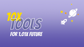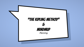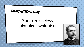## **KIPLING METHOD & XMIND**

## Plans are useless, planning invaluable

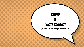## XMIND & "Note taking"

planning, coverage, reporting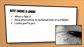## **NOTE TAKING & XMIND**

- × When u feel it
- × Nice alternative to bulleted lists or scribbles
- × Looks pretty pro

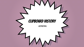### Clipboard history

**GENERAL**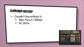#### **CLIPBOARD HISTORY**

- × Couldn't live without it
	- × Mac: Flycut / Alfred
	- × PC: Ditto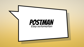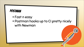#### **POSTMAN**

#### × Fast n easy × Postman hooks up to CI pretty nicely with Newman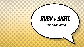# Ruby + shell

Easy automation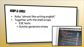#### **RUBY & SHELL**

- × Ruby "almost like writing english"
- × Together with the shell scrips:
	- × E2E tests
		- × Quickly generate stress

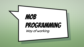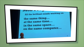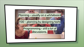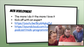#### **MOB DEVELOPMENT**

- × The more I do it the more I love it
- × Kick off with an expert
- × <https://youtu.be/8cy64qkgTyI>
- × https://soundcloud.com/cu podcast/mob-programmir

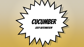# **CUCUMBER**

Easy automation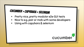## **CUCUMBER + CAPYBARA + SELENIUM**

- × Pretty nice, pretty modular e2e GUI tests
- × Nice to e.g. pair or mob with some developers
- × Using with capybara & selenium

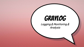# **GRAYLOG**

Logging & Monitoring & Analysis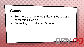#### **GRAYLOG**

× Bet there are many tools like this but do use something like this

**TRIK** 

× Deploying to production != done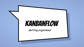# **KANBANFLOW**

Getting organized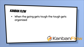#### **KANBAN FLOW**

× When the going gets tough the tough gets organized

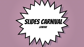# SLIDES CARNIVAL<

GENERAL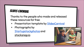#### **SLIDES CARNIVAL**

Thanks to the people who made and released these resources for free:

- × Presentation template by [SlidesCarnival](http://www.slidescarnival.com/)
- × Photographs by [Startupstockphotos](http://startupstockphotos.com/) and stocksnap.io